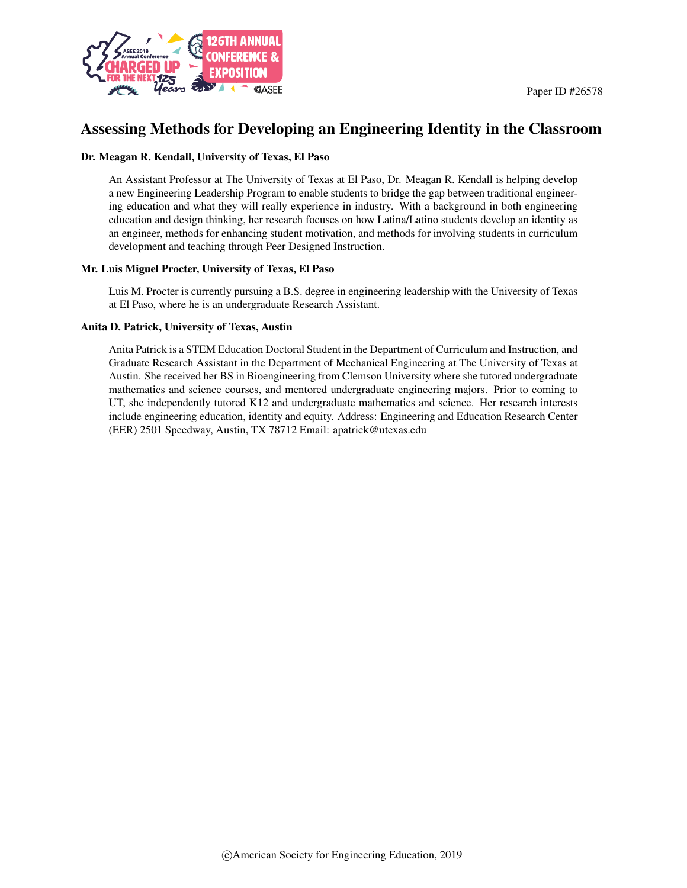

# Assessing Methods for Developing an Engineering Identity in the Classroom

#### Dr. Meagan R. Kendall, University of Texas, El Paso

An Assistant Professor at The University of Texas at El Paso, Dr. Meagan R. Kendall is helping develop a new Engineering Leadership Program to enable students to bridge the gap between traditional engineering education and what they will really experience in industry. With a background in both engineering education and design thinking, her research focuses on how Latina/Latino students develop an identity as an engineer, methods for enhancing student motivation, and methods for involving students in curriculum development and teaching through Peer Designed Instruction.

#### Mr. Luis Miguel Procter, University of Texas, El Paso

Luis M. Procter is currently pursuing a B.S. degree in engineering leadership with the University of Texas at El Paso, where he is an undergraduate Research Assistant.

#### Anita D. Patrick, University of Texas, Austin

Anita Patrick is a STEM Education Doctoral Student in the Department of Curriculum and Instruction, and Graduate Research Assistant in the Department of Mechanical Engineering at The University of Texas at Austin. She received her BS in Bioengineering from Clemson University where she tutored undergraduate mathematics and science courses, and mentored undergraduate engineering majors. Prior to coming to UT, she independently tutored K12 and undergraduate mathematics and science. Her research interests include engineering education, identity and equity. Address: Engineering and Education Research Center (EER) 2501 Speedway, Austin, TX 78712 Email: apatrick@utexas.edu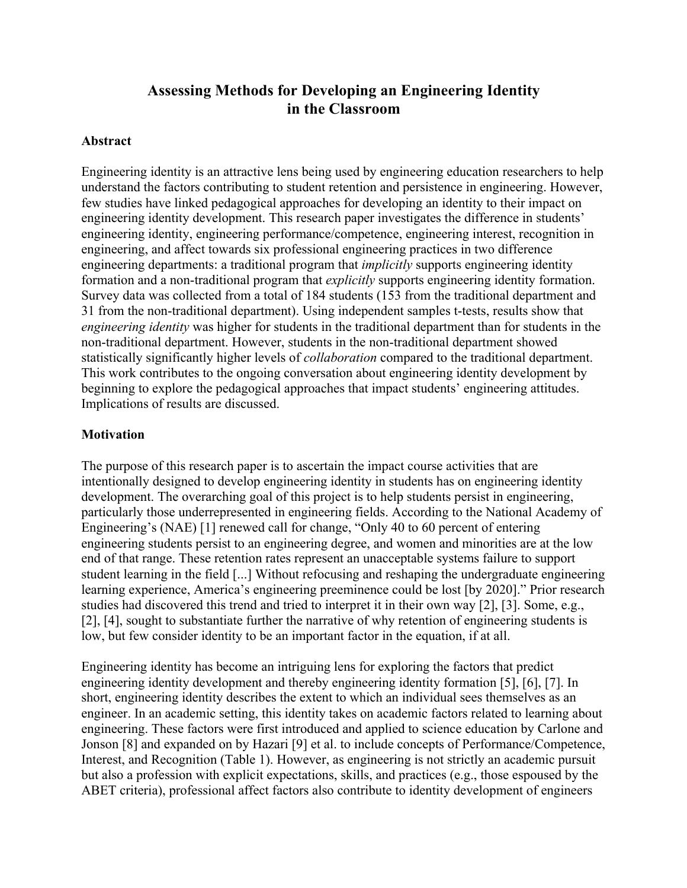# **Assessing Methods for Developing an Engineering Identity in the Classroom**

#### **Abstract**

Engineering identity is an attractive lens being used by engineering education researchers to help understand the factors contributing to student retention and persistence in engineering. However, few studies have linked pedagogical approaches for developing an identity to their impact on engineering identity development. This research paper investigates the difference in students' engineering identity, engineering performance/competence, engineering interest, recognition in engineering, and affect towards six professional engineering practices in two difference engineering departments: a traditional program that *implicitly* supports engineering identity formation and a non-traditional program that *explicitly* supports engineering identity formation. Survey data was collected from a total of 184 students (153 from the traditional department and 31 from the non-traditional department). Using independent samples t-tests, results show that *engineering identity* was higher for students in the traditional department than for students in the non-traditional department. However, students in the non-traditional department showed statistically significantly higher levels of *collaboration* compared to the traditional department. This work contributes to the ongoing conversation about engineering identity development by beginning to explore the pedagogical approaches that impact students' engineering attitudes. Implications of results are discussed.

### **Motivation**

The purpose of this research paper is to ascertain the impact course activities that are intentionally designed to develop engineering identity in students has on engineering identity development. The overarching goal of this project is to help students persist in engineering, particularly those underrepresented in engineering fields. According to the National Academy of Engineering's (NAE) [1] renewed call for change, "Only 40 to 60 percent of entering engineering students persist to an engineering degree, and women and minorities are at the low end of that range. These retention rates represent an unacceptable systems failure to support student learning in the field [...] Without refocusing and reshaping the undergraduate engineering learning experience, America's engineering preeminence could be lost [by 2020]." Prior research studies had discovered this trend and tried to interpret it in their own way [2], [3]. Some, e.g., [2], [4], sought to substantiate further the narrative of why retention of engineering students is low, but few consider identity to be an important factor in the equation, if at all.

Engineering identity has become an intriguing lens for exploring the factors that predict engineering identity development and thereby engineering identity formation [5], [6], [7]. In short, engineering identity describes the extent to which an individual sees themselves as an engineer. In an academic setting, this identity takes on academic factors related to learning about engineering. These factors were first introduced and applied to science education by Carlone and Jonson [8] and expanded on by Hazari [9] et al. to include concepts of Performance/Competence, Interest, and Recognition (Table 1). However, as engineering is not strictly an academic pursuit but also a profession with explicit expectations, skills, and practices (e.g., those espoused by the ABET criteria), professional affect factors also contribute to identity development of engineers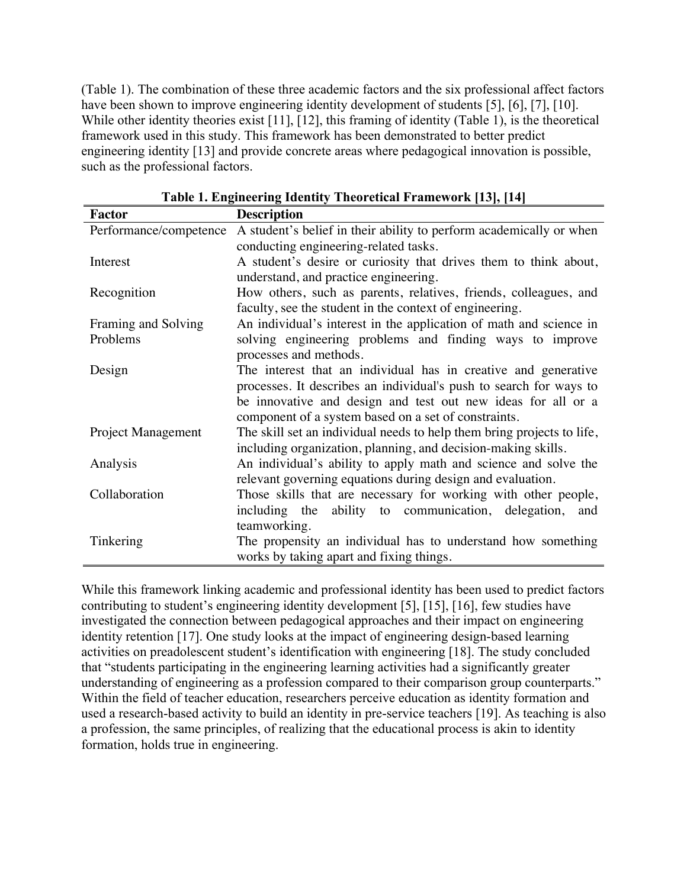(Table 1). The combination of these three academic factors and the six professional affect factors have been shown to improve engineering identity development of students [5], [6], [7], [10]. While other identity theories exist [11], [12], this framing of identity (Table 1), is the theoretical framework used in this study. This framework has been demonstrated to better predict engineering identity [13] and provide concrete areas where pedagogical innovation is possible, such as the professional factors.

| <b>Factor</b>          | <b>Description</b>                                                     |  |  |  |  |
|------------------------|------------------------------------------------------------------------|--|--|--|--|
| Performance/competence | A student's belief in their ability to perform academically or when    |  |  |  |  |
|                        | conducting engineering-related tasks.                                  |  |  |  |  |
| Interest               | A student's desire or curiosity that drives them to think about,       |  |  |  |  |
|                        | understand, and practice engineering.                                  |  |  |  |  |
| Recognition            | How others, such as parents, relatives, friends, colleagues, and       |  |  |  |  |
|                        | faculty, see the student in the context of engineering.                |  |  |  |  |
| Framing and Solving    | An individual's interest in the application of math and science in     |  |  |  |  |
| Problems               | solving engineering problems and finding ways to improve               |  |  |  |  |
|                        | processes and methods.                                                 |  |  |  |  |
| Design                 | The interest that an individual has in creative and generative         |  |  |  |  |
|                        | processes. It describes an individual's push to search for ways to     |  |  |  |  |
|                        | be innovative and design and test out new ideas for all or a           |  |  |  |  |
|                        | component of a system based on a set of constraints.                   |  |  |  |  |
| Project Management     | The skill set an individual needs to help them bring projects to life, |  |  |  |  |
|                        | including organization, planning, and decision-making skills.          |  |  |  |  |
| Analysis               | An individual's ability to apply math and science and solve the        |  |  |  |  |
|                        | relevant governing equations during design and evaluation.             |  |  |  |  |
| Collaboration          | Those skills that are necessary for working with other people,         |  |  |  |  |
|                        | including the ability to communication, delegation,<br>and             |  |  |  |  |
|                        | teamworking.                                                           |  |  |  |  |
| Tinkering              | The propensity an individual has to understand how something           |  |  |  |  |
|                        | works by taking apart and fixing things.                               |  |  |  |  |

**Table 1. Engineering Identity Theoretical Framework [13], [14]**

While this framework linking academic and professional identity has been used to predict factors contributing to student's engineering identity development [5], [15], [16], few studies have investigated the connection between pedagogical approaches and their impact on engineering identity retention [17]. One study looks at the impact of engineering design-based learning activities on preadolescent student's identification with engineering [18]. The study concluded that "students participating in the engineering learning activities had a significantly greater understanding of engineering as a profession compared to their comparison group counterparts." Within the field of teacher education, researchers perceive education as identity formation and used a research-based activity to build an identity in pre-service teachers [19]. As teaching is also a profession, the same principles, of realizing that the educational process is akin to identity formation, holds true in engineering.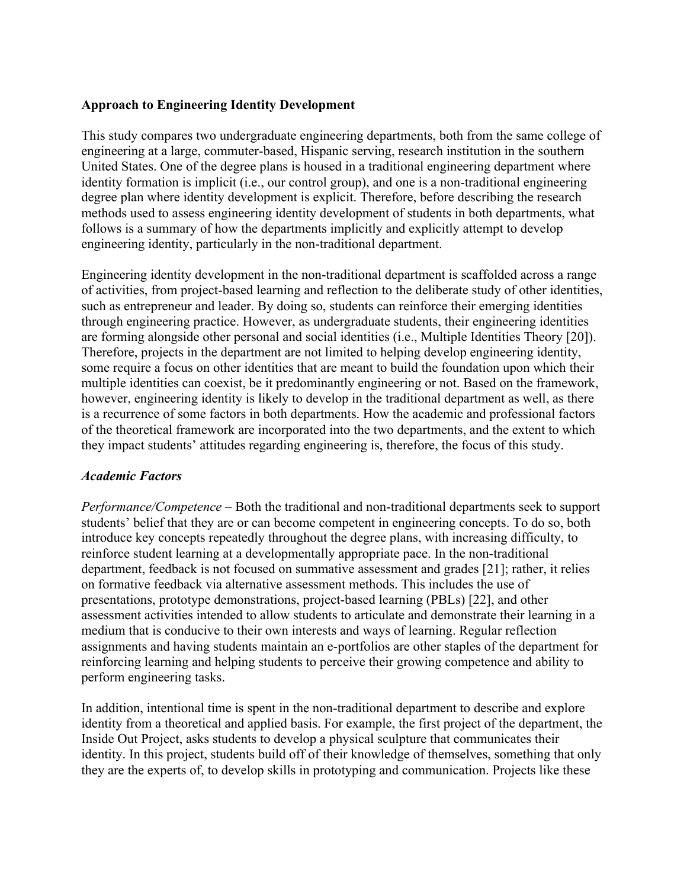## **Approach to Engineering Identity Development**

This study compares two undergraduate engineering departments, both from the same college of engineering at a large, commuter-based, Hispanic serving, research institution in the southern United States. One of the degree plans is housed in a traditional engineering department where identity formation is implicit (i.e., our control group), and one is a non-traditional engineering degree plan where identity development is explicit. Therefore, before describing the research methods used to assess engineering identity development of students in both departments, what follows is a summary of how the departments implicitly and explicitly attempt to develop engineering identity, particularly in the non-traditional department.

Engineering identity development in the non-traditional department is scaffolded across a range of activities, from project-based learning and reflection to the deliberate study of other identities, such as entrepreneur and leader. By doing so, students can reinforce their emerging identities through engineering practice. However, as undergraduate students, their engineering identities are forming alongside other personal and social identities (i.e., Multiple Identities Theory [20]). Therefore, projects in the department are not limited to helping develop engineering identity, some require a focus on other identities that are meant to build the foundation upon which their multiple identities can coexist, be it predominantly engineering or not. Based on the framework, however, engineering identity is likely to develop in the traditional department as well, as there is a recurrence of some factors in both departments. How the academic and professional factors of the theoretical framework are incorporated into the two departments, and the extent to which they impact students' attitudes regarding engineering is, therefore, the focus of this study.

#### *Academic Factors*

*Performance/Competence* – Both the traditional and non-traditional departments seek to support students' belief that they are or can become competent in engineering concepts. To do so, both introduce key concepts repeatedly throughout the degree plans, with increasing difficulty, to reinforce student learning at a developmentally appropriate pace. In the non-traditional department, feedback is not focused on summative assessment and grades [21]; rather, it relies on formative feedback via alternative assessment methods. This includes the use of presentations, prototype demonstrations, project-based learning (PBLs) [22], and other assessment activities intended to allow students to articulate and demonstrate their learning in a medium that is conducive to their own interests and ways of learning. Regular reflection assignments and having students maintain an e-portfolios are other staples of the department for reinforcing learning and helping students to perceive their growing competence and ability to perform engineering tasks.

In addition, intentional time is spent in the non-traditional department to describe and explore identity from a theoretical and applied basis. For example, the first project of the department, the Inside Out Project, asks students to develop a physical sculpture that communicates their identity. In this project, students build off of their knowledge of themselves, something that only they are the experts of, to develop skills in prototyping and communication. Projects like these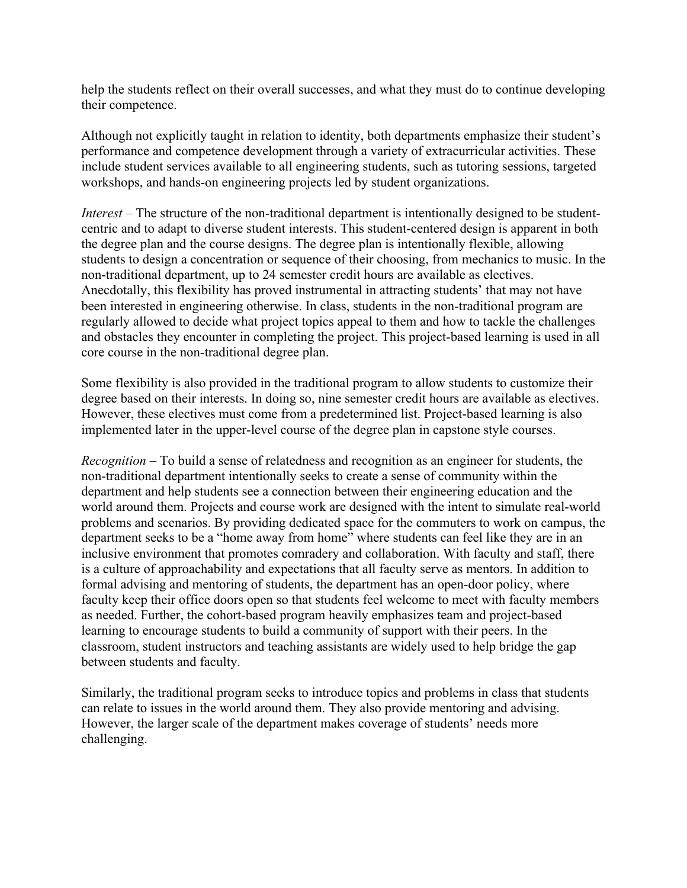help the students reflect on their overall successes, and what they must do to continue developing their competence.

Although not explicitly taught in relation to identity, both departments emphasize their student's performance and competence development through a variety of extracurricular activities. These include student services available to all engineering students, such as tutoring sessions, targeted workshops, and hands-on engineering projects led by student organizations.

*Interest* – The structure of the non-traditional department is intentionally designed to be studentcentric and to adapt to diverse student interests. This student-centered design is apparent in both the degree plan and the course designs. The degree plan is intentionally flexible, allowing students to design a concentration or sequence of their choosing, from mechanics to music. In the non-traditional department, up to 24 semester credit hours are available as electives. Anecdotally, this flexibility has proved instrumental in attracting students' that may not have been interested in engineering otherwise. In class, students in the non-traditional program are regularly allowed to decide what project topics appeal to them and how to tackle the challenges and obstacles they encounter in completing the project. This project-based learning is used in all core course in the non-traditional degree plan.

Some flexibility is also provided in the traditional program to allow students to customize their degree based on their interests. In doing so, nine semester credit hours are available as electives. However, these electives must come from a predetermined list. Project-based learning is also implemented later in the upper-level course of the degree plan in capstone style courses.

*Recognition* – To build a sense of relatedness and recognition as an engineer for students, the non-traditional department intentionally seeks to create a sense of community within the department and help students see a connection between their engineering education and the world around them. Projects and course work are designed with the intent to simulate real-world problems and scenarios. By providing dedicated space for the commuters to work on campus, the department seeks to be a "home away from home" where students can feel like they are in an inclusive environment that promotes comradery and collaboration. With faculty and staff, there is a culture of approachability and expectations that all faculty serve as mentors. In addition to formal advising and mentoring of students, the department has an open-door policy, where faculty keep their office doors open so that students feel welcome to meet with faculty members as needed. Further, the cohort-based program heavily emphasizes team and project-based learning to encourage students to build a community of support with their peers. In the classroom, student instructors and teaching assistants are widely used to help bridge the gap between students and faculty.

Similarly, the traditional program seeks to introduce topics and problems in class that students can relate to issues in the world around them. They also provide mentoring and advising. However, the larger scale of the department makes coverage of students' needs more challenging.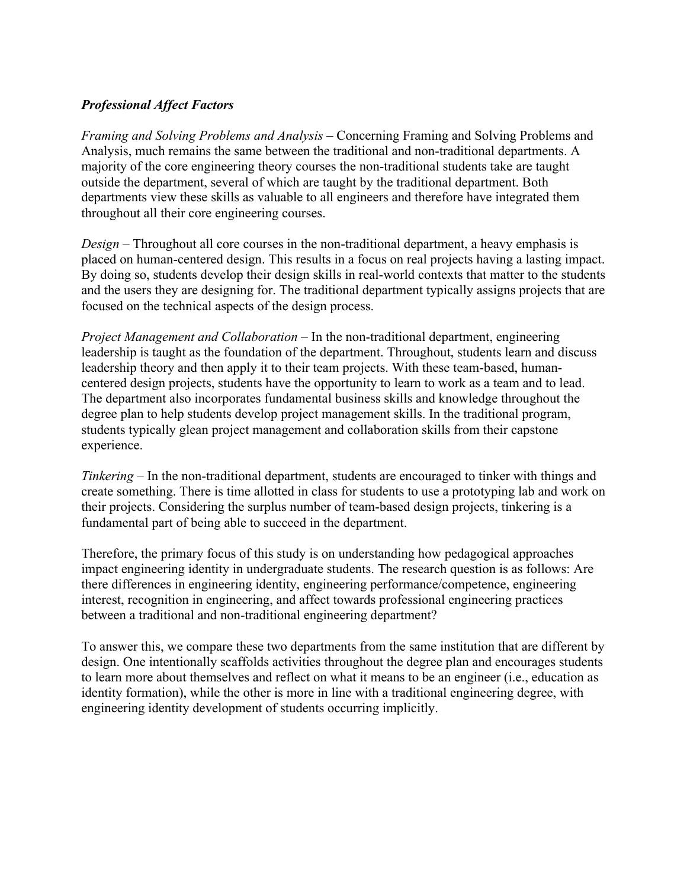# *Professional Affect Factors*

*Framing and Solving Problems and Analysis* – Concerning Framing and Solving Problems and Analysis, much remains the same between the traditional and non-traditional departments. A majority of the core engineering theory courses the non-traditional students take are taught outside the department, several of which are taught by the traditional department. Both departments view these skills as valuable to all engineers and therefore have integrated them throughout all their core engineering courses.

*Design* – Throughout all core courses in the non-traditional department, a heavy emphasis is placed on human-centered design. This results in a focus on real projects having a lasting impact. By doing so, students develop their design skills in real-world contexts that matter to the students and the users they are designing for. The traditional department typically assigns projects that are focused on the technical aspects of the design process.

*Project Management and Collaboration* – In the non-traditional department, engineering leadership is taught as the foundation of the department. Throughout, students learn and discuss leadership theory and then apply it to their team projects. With these team-based, humancentered design projects, students have the opportunity to learn to work as a team and to lead. The department also incorporates fundamental business skills and knowledge throughout the degree plan to help students develop project management skills. In the traditional program, students typically glean project management and collaboration skills from their capstone experience.

*Tinkering* – In the non-traditional department, students are encouraged to tinker with things and create something. There is time allotted in class for students to use a prototyping lab and work on their projects. Considering the surplus number of team-based design projects, tinkering is a fundamental part of being able to succeed in the department.

Therefore, the primary focus of this study is on understanding how pedagogical approaches impact engineering identity in undergraduate students. The research question is as follows: Are there differences in engineering identity, engineering performance/competence, engineering interest, recognition in engineering, and affect towards professional engineering practices between a traditional and non-traditional engineering department?

To answer this, we compare these two departments from the same institution that are different by design. One intentionally scaffolds activities throughout the degree plan and encourages students to learn more about themselves and reflect on what it means to be an engineer (i.e., education as identity formation), while the other is more in line with a traditional engineering degree, with engineering identity development of students occurring implicitly.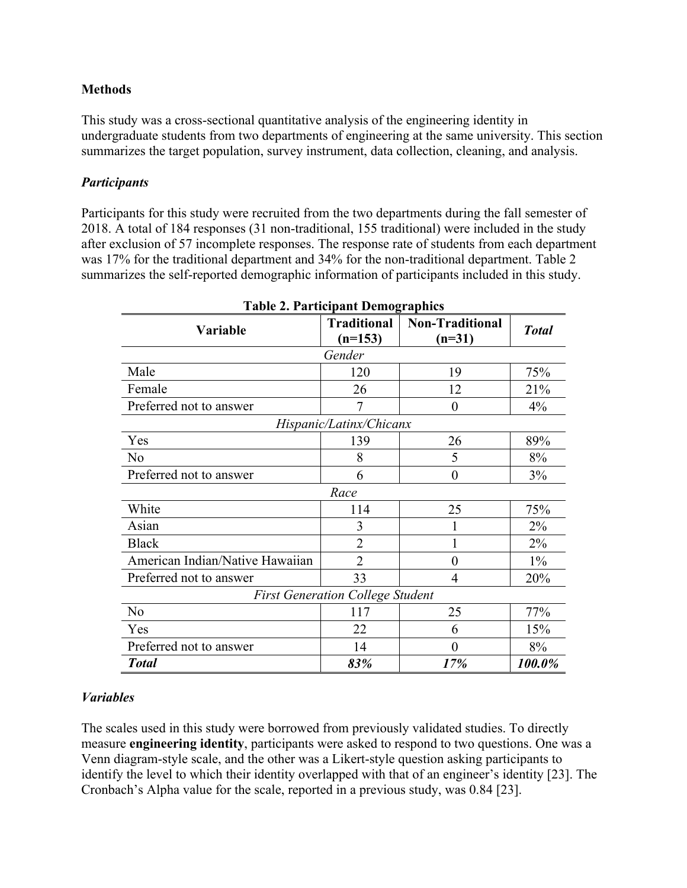## **Methods**

This study was a cross-sectional quantitative analysis of the engineering identity in undergraduate students from two departments of engineering at the same university. This section summarizes the target population, survey instrument, data collection, cleaning, and analysis.

#### *Participants*

Participants for this study were recruited from the two departments during the fall semester of 2018. A total of 184 responses (31 non-traditional, 155 traditional) were included in the study after exclusion of 57 incomplete responses. The response rate of students from each department was 17% for the traditional department and 34% for the non-traditional department. Table 2 summarizes the self-reported demographic information of participants included in this study.

| <b>Table 2. Participant Demographics</b> |                                 |                                    |              |  |  |  |  |
|------------------------------------------|---------------------------------|------------------------------------|--------------|--|--|--|--|
| Variable                                 | <b>Traditional</b><br>$(n=153)$ | <b>Non-Traditional</b><br>$(n=31)$ | <b>Total</b> |  |  |  |  |
| Gender                                   |                                 |                                    |              |  |  |  |  |
| Male                                     | 120                             | 19                                 | 75%          |  |  |  |  |
| Female                                   | 26                              | 12                                 | 21%          |  |  |  |  |
| Preferred not to answer                  |                                 | $\boldsymbol{0}$                   | 4%           |  |  |  |  |
| Hispanic/Latinx/Chicanx                  |                                 |                                    |              |  |  |  |  |
| Yes                                      | 139                             | 26                                 | 89%          |  |  |  |  |
| No                                       | 8                               | 5                                  | 8%           |  |  |  |  |
| Preferred not to answer                  | 6                               | $\overline{0}$                     | 3%           |  |  |  |  |
| Race                                     |                                 |                                    |              |  |  |  |  |
| White                                    | 114                             | 25                                 | 75%          |  |  |  |  |
| Asian                                    | 3                               |                                    | $2\%$        |  |  |  |  |
| <b>Black</b>                             | $\overline{2}$                  | 1                                  | 2%           |  |  |  |  |
| American Indian/Native Hawaiian          | $\overline{2}$                  | $\overline{0}$                     | $1\%$        |  |  |  |  |
| Preferred not to answer                  | 33                              | $\overline{4}$                     | 20%          |  |  |  |  |
| <b>First Generation College Student</b>  |                                 |                                    |              |  |  |  |  |
| No                                       | 117                             | 25                                 | 77%          |  |  |  |  |
| Yes                                      | 22                              | 6                                  | 15%          |  |  |  |  |
| Preferred not to answer                  | 14                              | $\overline{0}$                     | 8%           |  |  |  |  |
| <b>Total</b>                             | 83%                             | 17%                                | 100.0%       |  |  |  |  |

# *Variables*

The scales used in this study were borrowed from previously validated studies. To directly measure **engineering identity**, participants were asked to respond to two questions. One was a Venn diagram-style scale, and the other was a Likert-style question asking participants to identify the level to which their identity overlapped with that of an engineer's identity [23]. The Cronbach's Alpha value for the scale, reported in a previous study, was 0.84 [23].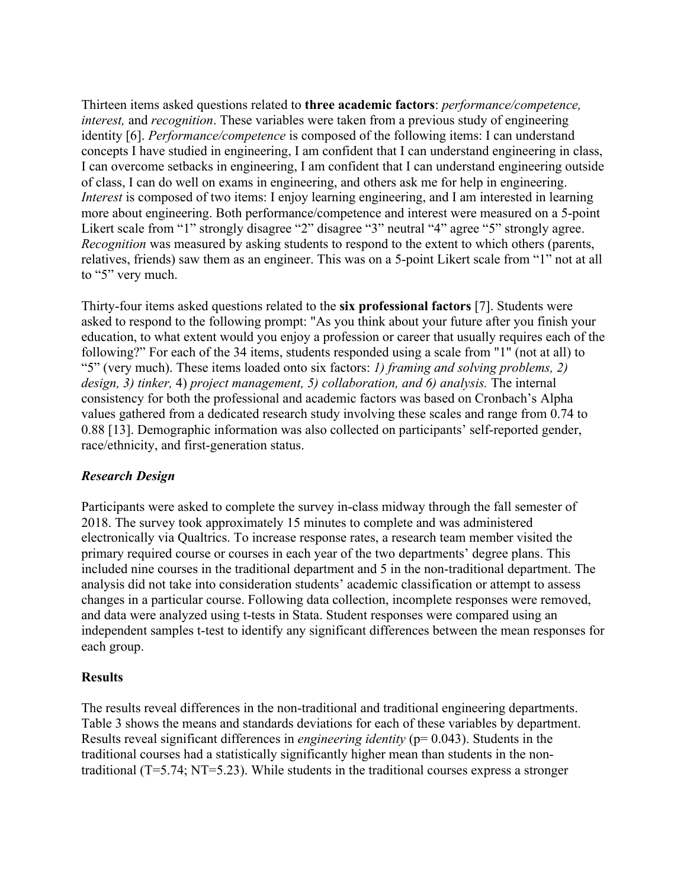Thirteen items asked questions related to **three academic factors**: *performance/competence, interest,* and *recognition*. These variables were taken from a previous study of engineering identity [6]. *Performance/competence* is composed of the following items: I can understand concepts I have studied in engineering, I am confident that I can understand engineering in class, I can overcome setbacks in engineering, I am confident that I can understand engineering outside of class, I can do well on exams in engineering, and others ask me for help in engineering. *Interest* is composed of two items: I enjoy learning engineering, and I am interested in learning more about engineering. Both performance/competence and interest were measured on a 5-point Likert scale from "1" strongly disagree "2" disagree "3" neutral "4" agree "5" strongly agree. *Recognition* was measured by asking students to respond to the extent to which others (parents, relatives, friends) saw them as an engineer. This was on a 5-point Likert scale from "1" not at all to "5" very much.

Thirty-four items asked questions related to the **six professional factors** [7]. Students were asked to respond to the following prompt: "As you think about your future after you finish your education, to what extent would you enjoy a profession or career that usually requires each of the following?" For each of the 34 items, students responded using a scale from "1" (not at all) to "5" (very much). These items loaded onto six factors: *1) framing and solving problems, 2) design, 3) tinker,* 4) *project management, 5) collaboration, and 6) analysis.* The internal consistency for both the professional and academic factors was based on Cronbach's Alpha values gathered from a dedicated research study involving these scales and range from 0.74 to 0.88 [13]. Demographic information was also collected on participants' self-reported gender, race/ethnicity, and first-generation status.

# *Research Design*

Participants were asked to complete the survey in-class midway through the fall semester of 2018. The survey took approximately 15 minutes to complete and was administered electronically via Qualtrics. To increase response rates, a research team member visited the primary required course or courses in each year of the two departments' degree plans. This included nine courses in the traditional department and 5 in the non-traditional department. The analysis did not take into consideration students' academic classification or attempt to assess changes in a particular course. Following data collection, incomplete responses were removed, and data were analyzed using t-tests in Stata. Student responses were compared using an independent samples t-test to identify any significant differences between the mean responses for each group.

#### **Results**

The results reveal differences in the non-traditional and traditional engineering departments. Table 3 shows the means and standards deviations for each of these variables by department. Results reveal significant differences in *engineering identity* (p= 0.043). Students in the traditional courses had a statistically significantly higher mean than students in the nontraditional (T=5.74; NT=5.23). While students in the traditional courses express a stronger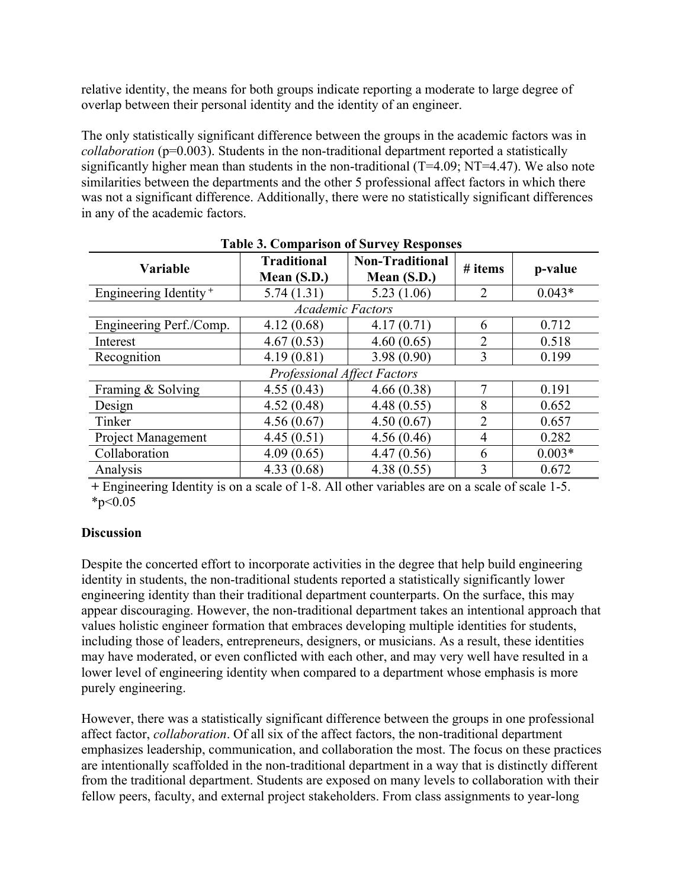relative identity, the means for both groups indicate reporting a moderate to large degree of overlap between their personal identity and the identity of an engineer.

The only statistically significant difference between the groups in the academic factors was in *collaboration* (p=0.003). Students in the non-traditional department reported a statistically significantly higher mean than students in the non-traditional (T=4.09; NT=4.47). We also note similarities between the departments and the other 5 professional affect factors in which there was not a significant difference. Additionally, there were no statistically significant differences in any of the academic factors.

| Table 5. Comparison of Survey Kesponses |                                   |                                         |                |          |  |  |  |
|-----------------------------------------|-----------------------------------|-----------------------------------------|----------------|----------|--|--|--|
| Variable                                | <b>Traditional</b><br>Mean (S.D.) | <b>Non-Traditional</b><br>Mean $(S.D.)$ | $#$ items      | p-value  |  |  |  |
| Engineering Identity <sup>+</sup>       | 5.74(1.31)                        | 5.23(1.06)                              | 2              | $0.043*$ |  |  |  |
| <b>Academic Factors</b>                 |                                   |                                         |                |          |  |  |  |
| Engineering Perf./Comp.                 | 4.12(0.68)                        | 4.17(0.71)                              | 6              | 0.712    |  |  |  |
| Interest                                | 4.67(0.53)                        | 4.60(0.65)                              | $\overline{2}$ | 0.518    |  |  |  |
| Recognition                             | 4.19(0.81)                        | 3.98(0.90)                              | 3              | 0.199    |  |  |  |
| <b>Professional Affect Factors</b>      |                                   |                                         |                |          |  |  |  |
| Framing & Solving                       | 4.55(0.43)                        | 4.66(0.38)                              | 7              | 0.191    |  |  |  |
| Design                                  | 4.52(0.48)                        | 4.48(0.55)                              | 8              | 0.652    |  |  |  |
| Tinker                                  | 4.56(0.67)                        | 4.50(0.67)                              | $\overline{2}$ | 0.657    |  |  |  |
| Project Management                      | 4.45(0.51)                        | 4.56(0.46)                              | 4              | 0.282    |  |  |  |
| Collaboration                           | 4.09(0.65)                        | 4.47(0.56)                              | 6              | $0.003*$ |  |  |  |
| Analysis                                | 4.33(0.68)                        | 4.38(0.55)                              | 3              | 0.672    |  |  |  |

**Table 3. Comparison of Survey Responses**

**+** Engineering Identity is on a scale of 1-8. All other variables are on a scale of scale 1-5.  $*_{p<0.05}$ 

# **Discussion**

Despite the concerted effort to incorporate activities in the degree that help build engineering identity in students, the non-traditional students reported a statistically significantly lower engineering identity than their traditional department counterparts. On the surface, this may appear discouraging. However, the non-traditional department takes an intentional approach that values holistic engineer formation that embraces developing multiple identities for students, including those of leaders, entrepreneurs, designers, or musicians. As a result, these identities may have moderated, or even conflicted with each other, and may very well have resulted in a lower level of engineering identity when compared to a department whose emphasis is more purely engineering.

However, there was a statistically significant difference between the groups in one professional affect factor, *collaboration*. Of all six of the affect factors, the non-traditional department emphasizes leadership, communication, and collaboration the most. The focus on these practices are intentionally scaffolded in the non-traditional department in a way that is distinctly different from the traditional department. Students are exposed on many levels to collaboration with their fellow peers, faculty, and external project stakeholders. From class assignments to year-long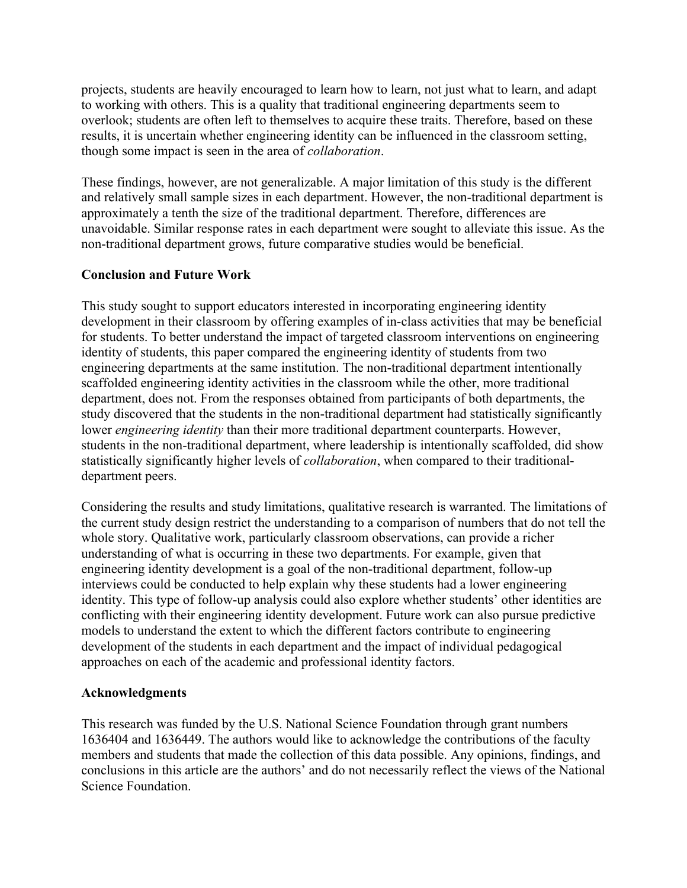projects, students are heavily encouraged to learn how to learn, not just what to learn, and adapt to working with others. This is a quality that traditional engineering departments seem to overlook; students are often left to themselves to acquire these traits. Therefore, based on these results, it is uncertain whether engineering identity can be influenced in the classroom setting, though some impact is seen in the area of *collaboration*.

These findings, however, are not generalizable. A major limitation of this study is the different and relatively small sample sizes in each department. However, the non-traditional department is approximately a tenth the size of the traditional department. Therefore, differences are unavoidable. Similar response rates in each department were sought to alleviate this issue. As the non-traditional department grows, future comparative studies would be beneficial.

### **Conclusion and Future Work**

This study sought to support educators interested in incorporating engineering identity development in their classroom by offering examples of in-class activities that may be beneficial for students. To better understand the impact of targeted classroom interventions on engineering identity of students, this paper compared the engineering identity of students from two engineering departments at the same institution. The non-traditional department intentionally scaffolded engineering identity activities in the classroom while the other, more traditional department, does not. From the responses obtained from participants of both departments, the study discovered that the students in the non-traditional department had statistically significantly lower *engineering identity* than their more traditional department counterparts. However, students in the non-traditional department, where leadership is intentionally scaffolded, did show statistically significantly higher levels of *collaboration*, when compared to their traditionaldepartment peers.

Considering the results and study limitations, qualitative research is warranted. The limitations of the current study design restrict the understanding to a comparison of numbers that do not tell the whole story. Qualitative work, particularly classroom observations, can provide a richer understanding of what is occurring in these two departments. For example, given that engineering identity development is a goal of the non-traditional department, follow-up interviews could be conducted to help explain why these students had a lower engineering identity. This type of follow-up analysis could also explore whether students' other identities are conflicting with their engineering identity development. Future work can also pursue predictive models to understand the extent to which the different factors contribute to engineering development of the students in each department and the impact of individual pedagogical approaches on each of the academic and professional identity factors.

#### **Acknowledgments**

This research was funded by the U.S. National Science Foundation through grant numbers 1636404 and 1636449. The authors would like to acknowledge the contributions of the faculty members and students that made the collection of this data possible. Any opinions, findings, and conclusions in this article are the authors' and do not necessarily reflect the views of the National Science Foundation.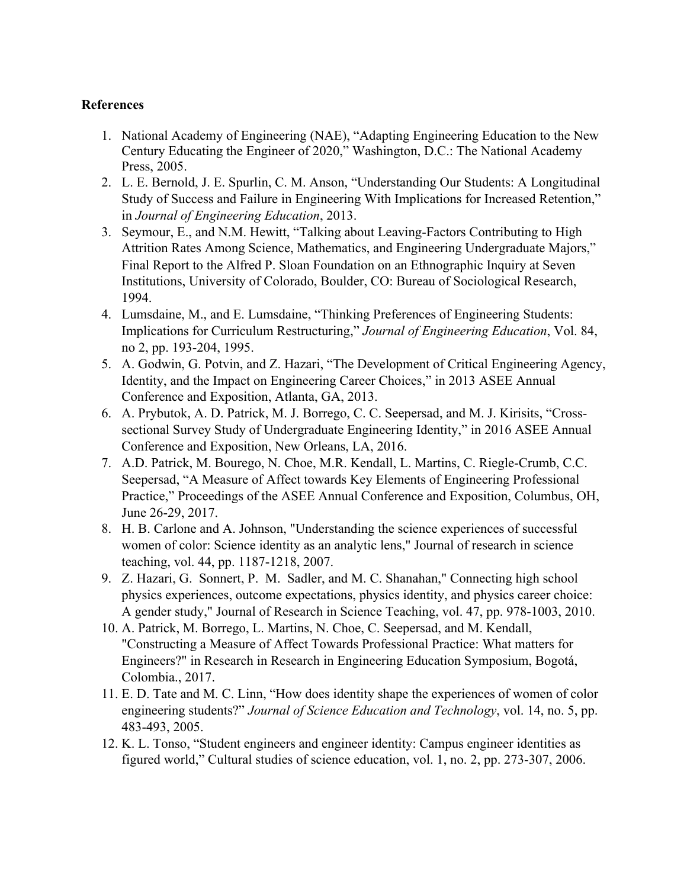## **References**

- 1. National Academy of Engineering (NAE), "Adapting Engineering Education to the New Century Educating the Engineer of 2020," Washington, D.C.: The National Academy Press, 2005.
- 2. L. E. Bernold, J. E. Spurlin, C. M. Anson, "Understanding Our Students: A Longitudinal Study of Success and Failure in Engineering With Implications for Increased Retention," in *Journal of Engineering Education*, 2013.
- 3. Seymour, E., and N.M. Hewitt, "Talking about Leaving-Factors Contributing to High Attrition Rates Among Science, Mathematics, and Engineering Undergraduate Majors," Final Report to the Alfred P. Sloan Foundation on an Ethnographic Inquiry at Seven Institutions, University of Colorado, Boulder, CO: Bureau of Sociological Research, 1994.
- 4. Lumsdaine, M., and E. Lumsdaine, "Thinking Preferences of Engineering Students: Implications for Curriculum Restructuring," *Journal of Engineering Education*, Vol. 84, no 2, pp. 193-204, 1995.
- 5. A. Godwin, G. Potvin, and Z. Hazari, "The Development of Critical Engineering Agency, Identity, and the Impact on Engineering Career Choices," in 2013 ASEE Annual Conference and Exposition, Atlanta, GA, 2013.
- 6. A. Prybutok, A. D. Patrick, M. J. Borrego, C. C. Seepersad, and M. J. Kirisits, "Crosssectional Survey Study of Undergraduate Engineering Identity," in 2016 ASEE Annual Conference and Exposition, New Orleans, LA, 2016.
- 7. A.D. Patrick, M. Bourego, N. Choe, M.R. Kendall, L. Martins, C. Riegle-Crumb, C.C. Seepersad, "A Measure of Affect towards Key Elements of Engineering Professional Practice," Proceedings of the ASEE Annual Conference and Exposition, Columbus, OH, June 26-29, 2017.
- 8. H. B. Carlone and A. Johnson, "Understanding the science experiences of successful women of color: Science identity as an analytic lens," Journal of research in science teaching, vol. 44, pp. 1187-1218, 2007.
- 9. Z. Hazari, G. Sonnert, P. M. Sadler, and M. C. Shanahan," Connecting high school physics experiences, outcome expectations, physics identity, and physics career choice: A gender study," Journal of Research in Science Teaching, vol. 47, pp. 978-1003, 2010.
- 10. A. Patrick, M. Borrego, L. Martins, N. Choe, C. Seepersad, and M. Kendall, "Constructing a Measure of Affect Towards Professional Practice: What matters for Engineers?" in Research in Research in Engineering Education Symposium, Bogotá, Colombia., 2017.
- 11. E. D. Tate and M. C. Linn, "How does identity shape the experiences of women of color engineering students?" *Journal of Science Education and Technology*, vol. 14, no. 5, pp. 483-493, 2005.
- 12. K. L. Tonso, "Student engineers and engineer identity: Campus engineer identities as figured world," Cultural studies of science education, vol. 1, no. 2, pp. 273-307, 2006.